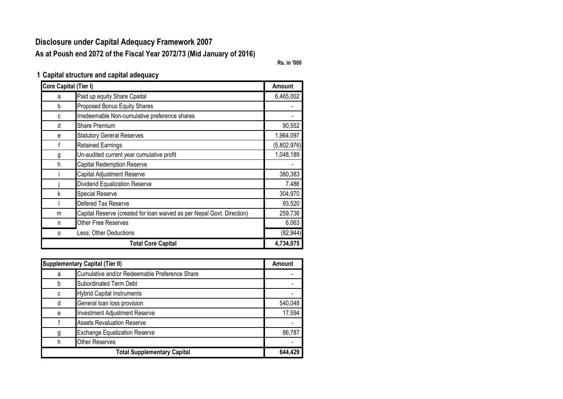## **Disclosure under Capital Adequacy Framework 2007 As at Poush end 2072 of the Fiscal Year 2072/73 (Mid January of 2016)**

**Rs. in '000**

**1 Capital structure and capital adequacy**

| <b>Core Capital (Tier I)</b> |                                                                        | <b>Amount</b> |
|------------------------------|------------------------------------------------------------------------|---------------|
| a                            | Paid up equity Share Cpaital                                           | 6,465,002     |
| b                            | Proposed Bonus Equity Shares                                           |               |
| C                            | Irredeemable Non-cumulative preference shares                          |               |
| d                            | <b>Share Premium</b>                                                   | 90,552        |
| e                            | <b>Statutory Gereral Reserves</b>                                      | 1,964,097     |
| f                            | <b>Retained Earnings</b>                                               | (5,802,976)   |
| g                            | Un-audited current year cumulative profit                              | 1,048,189     |
| h                            | <b>Capital Redemption Reserve</b>                                      |               |
|                              | Capital Adjustment Reserve                                             | 380,383       |
|                              | Dividend Equalization Reserve                                          | 7,486         |
| k                            | <b>Special Reserve</b>                                                 | 304,970       |
|                              | Defered Tax Reserve                                                    | 93,520        |
| m                            | Capital Reserve (created for loan waived as per Nepal Govt. Direction) | 259,736       |
| n                            | <b>Other Free Reserves</b>                                             | 6,063         |
| 0                            | Less: Other Deductions                                                 | (82, 944)     |
|                              | <b>Total Core Capital</b>                                              | 4,734,075     |

|   | <b>Supplementary Capital (Tier II)</b>        | <b>Amount</b> |
|---|-----------------------------------------------|---------------|
| a | Cumulative and/or Redeemable Preference Share |               |
|   | <b>Subordinated Term Debt</b>                 |               |
| C | <b>Hybrid Capital Instruments</b>             |               |
| d | General loan loss provision                   | 540,048       |
| e | <b>Investment Adjustment Reserve</b>          | 17,594        |
|   | <b>Assets Revaluation Reserve</b>             |               |
|   | <b>Exchange Equalization Reserve</b>          | 86,787        |
| h | <b>Other Reserves</b>                         |               |
|   | <b>Total Supplementary Capital</b>            | 644,429       |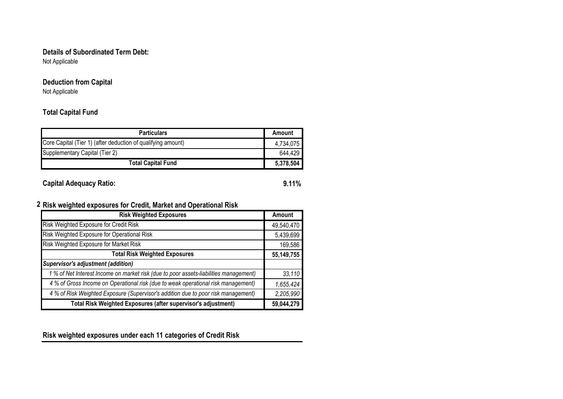#### **Details of Subordinated Term Debt:**

Not Applicable

### **Deduction from Capital**

Not Applicable

#### **Total Capital Fund**

| <b>Particulars</b>                                           | Amount    |
|--------------------------------------------------------------|-----------|
| Core Capital (Tier 1) (after deduction of qualifying amount) | 4,734,075 |
| Supplementary Capital (Tier 2)                               |           |
| <b>Total Capital Fund</b>                                    | 5,378,504 |

**Capital Adequacy Ratio: 9.11%**

#### **2 Risk weighted exposures for Credit, Market and Operational Risk**

| <b>Risk Weighted Exposures</b>                                                        | Amount     |
|---------------------------------------------------------------------------------------|------------|
| Risk Weighted Exposure for Credit Risk                                                | 49,540,470 |
| Risk Weighted Exposure for Operational Risk                                           | 5,439,699  |
| Risk Weighted Exposure for Market Risk                                                | 169,586    |
| <b>Total Risk Weighted Exposures</b>                                                  | 55,149,755 |
| Supervisor's adjustment (addition)                                                    |            |
| 1 % of Net Interest Income on market risk (due to poor assets-liabilities management) | 33,110     |
| 4 % of Gross Income on Operational risk (due to weak operational risk management)     | 1,655,424  |
| 4 % of Risk Weighted Exposure (Supervisor's addition due to poor risk management)     | 2,205,990  |
| Total Risk Weighted Exposures (after supervisor's adjustment)                         | 59,044,279 |

**Risk weighted exposures under each 11 categories of Credit Risk**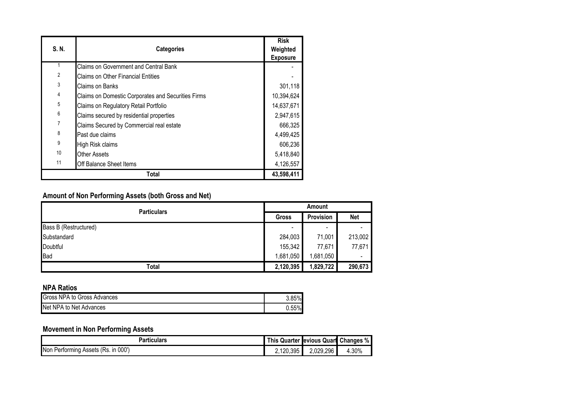| S. N.          | <b>Categories</b>                                  | <b>Risk</b><br>Weighted<br><b>Exposure</b> |
|----------------|----------------------------------------------------|--------------------------------------------|
|                | <b>Claims on Government and Central Bank</b>       |                                            |
| $\overline{2}$ | <b>Claims on Other Financial Entities</b>          |                                            |
| 3              | Claims on Banks                                    | 301,118                                    |
| 4              | Claims on Domestic Corporates and Securities Firms | 10,394,624                                 |
| 5              | Claims on Regulatory Retail Portfolio              | 14,637,671                                 |
| 6              | Claims secured by residential properties           | 2,947,615                                  |
| 7              | Claims Secured by Commercial real estate           | 666,325                                    |
| 8              | Past due claims                                    | 4,499,425                                  |
| 9              | High Risk claims                                   | 606,236                                    |
| 10             | <b>Other Assets</b>                                | 5,418,840                                  |
| 11             | <b>Off Balance Sheet Items</b>                     | 4,126,557                                  |
|                | Total                                              | 43,598,411                                 |

# **Amount of Non Performing Assets (both Gross and Net)**

| <b>Particulars</b>    | Amount                   |                          |            |
|-----------------------|--------------------------|--------------------------|------------|
|                       | Gross                    | Provision                | <b>Net</b> |
| Bass B (Restructured) | $\overline{\phantom{0}}$ | $\overline{\phantom{0}}$ |            |
| Substandard           | 284,003                  | 71,001                   | 213,002    |
| Doubtful              | 155,342                  | 77,671                   | 77,671     |
| <b>Bad</b>            | 1,681,050                | 1,681,050                | -          |
| Total                 | 2,120,395                | 1,829,722                | 290,673    |

#### **NPA Ratios**

| Gross NPA to Gross Advances | .85%     |
|-----------------------------|----------|
| Net NPA to Net Advances     | $0.55\%$ |

# **Movement in Non Performing Assets**

| Particulars                                   | This      | , Quarter revious Quart | <b>Changes</b><br>% |
|-----------------------------------------------|-----------|-------------------------|---------------------|
| 000"<br>Non<br>. Performing Assets<br>(Rs. In | 2,120,395 | 2,029,296               | 4.30%               |